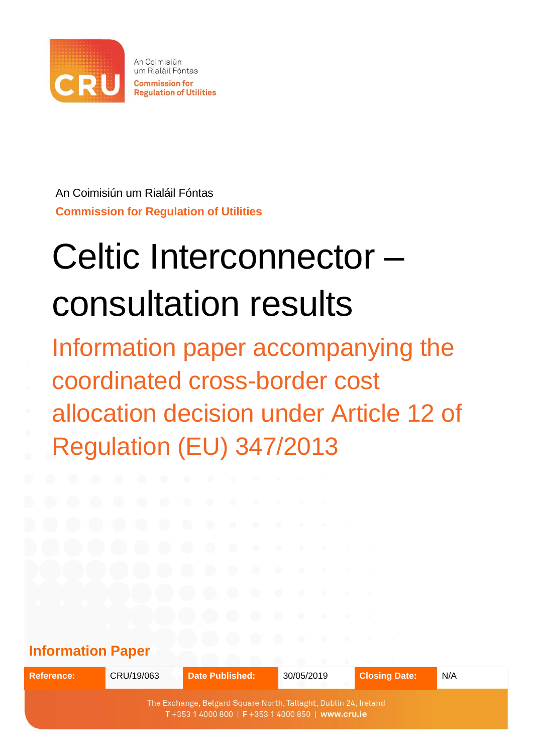

An Coimisiún um Rialáil Fóntas **Commission for Regulation of Utilities** 

An Coimisiún um Rialáil Fóntas **Commission for Regulation of Utilities**

# Celtic Interconnector – consultation results

Information paper accompanying the coordinated cross-border cost allocation decision under Article 12 of Regulation (EU) 347/2013

# **Information Paper**

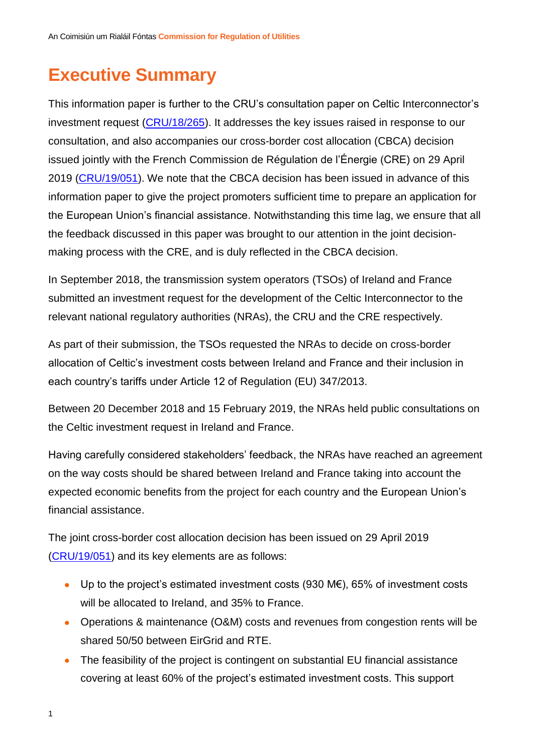# **Executive Summary**

This information paper is further to the CRU's consultation paper on Celtic Interconnector's investment request [\(CRU/18/265\)](https://www.cru.ie/document_group/celtic-electricity-interconnector/). It addresses the key issues raised in response to our consultation, and also accompanies our cross-border cost allocation (CBCA) decision issued jointly with the French Commission de Régulation de l'Énergie (CRE) on 29 April 2019 [\(CRU/19/051\)](https://www.cru.ie/document_group/celtic-electricity-interconnector/). We note that the CBCA decision has been issued in advance of this information paper to give the project promoters sufficient time to prepare an application for the European Union's financial assistance. Notwithstanding this time lag, we ensure that all the feedback discussed in this paper was brought to our attention in the joint decisionmaking process with the CRE, and is duly reflected in the CBCA decision.

In September 2018, the transmission system operators (TSOs) of Ireland and France submitted an investment request for the development of the Celtic Interconnector to the relevant national regulatory authorities (NRAs), the CRU and the CRE respectively.

As part of their submission, the TSOs requested the NRAs to decide on cross-border allocation of Celtic's investment costs between Ireland and France and their inclusion in each country's tariffs under Article 12 of Regulation (EU) 347/2013.

Between 20 December 2018 and 15 February 2019, the NRAs held public consultations on the Celtic investment request in Ireland and France.

Having carefully considered stakeholders' feedback, the NRAs have reached an agreement on the way costs should be shared between Ireland and France taking into account the expected economic benefits from the project for each country and the European Union's financial assistance.

The joint cross-border cost allocation decision has been issued on 29 April 2019 [\(CRU/19/051\)](https://www.cru.ie/document_group/celtic-electricity-interconnector/) and its key elements are as follows:

- Up to the project's estimated investment costs (930 M€), 65% of investment costs will be allocated to Ireland, and 35% to France.
- Operations & maintenance (O&M) costs and revenues from congestion rents will be shared 50/50 between EirGrid and RTE.
- The feasibility of the project is contingent on substantial EU financial assistance covering at least 60% of the project's estimated investment costs. This support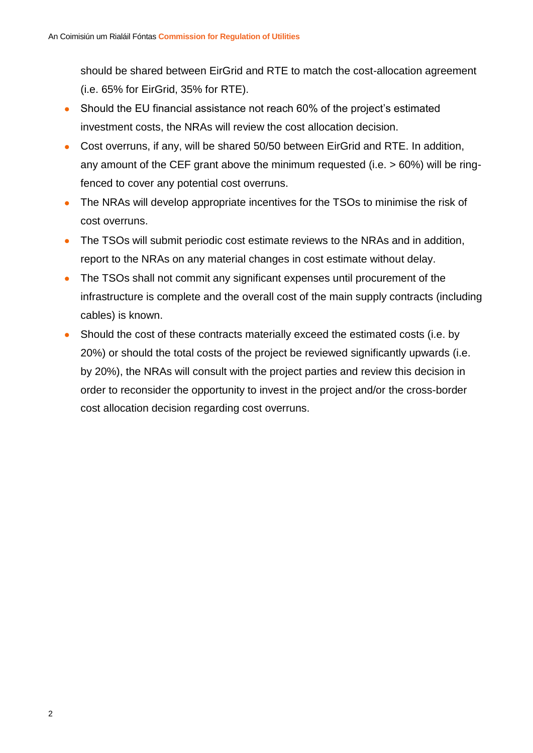should be shared between EirGrid and RTE to match the cost-allocation agreement (i.e. 65% for EirGrid, 35% for RTE).

- Should the EU financial assistance not reach 60% of the project's estimated investment costs, the NRAs will review the cost allocation decision.
- Cost overruns, if any, will be shared 50/50 between EirGrid and RTE. In addition, any amount of the CEF grant above the minimum requested (i.e. > 60%) will be ringfenced to cover any potential cost overruns.
- The NRAs will develop appropriate incentives for the TSOs to minimise the risk of cost overruns.
- The TSOs will submit periodic cost estimate reviews to the NRAs and in addition, report to the NRAs on any material changes in cost estimate without delay.
- The TSOs shall not commit any significant expenses until procurement of the infrastructure is complete and the overall cost of the main supply contracts (including cables) is known.
- Should the cost of these contracts materially exceed the estimated costs (i.e. by 20%) or should the total costs of the project be reviewed significantly upwards (i.e. by 20%), the NRAs will consult with the project parties and review this decision in order to reconsider the opportunity to invest in the project and/or the cross-border cost allocation decision regarding cost overruns.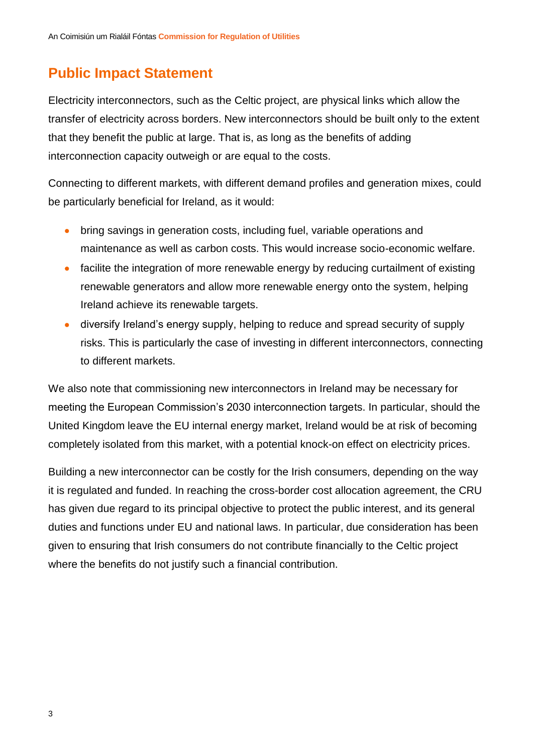### **Public Impact Statement**

Electricity interconnectors, such as the Celtic project, are physical links which allow the transfer of electricity across borders. New interconnectors should be built only to the extent that they benefit the public at large. That is, as long as the benefits of adding interconnection capacity outweigh or are equal to the costs.

Connecting to different markets, with different demand profiles and generation mixes, could be particularly beneficial for Ireland, as it would:

- bring savings in generation costs, including fuel, variable operations and maintenance as well as carbon costs. This would increase socio-economic welfare.
- facilite the integration of more renewable energy by reducing curtailment of existing renewable generators and allow more renewable energy onto the system, helping Ireland achieve its renewable targets.
- diversify Ireland's energy supply, helping to reduce and spread security of supply risks. This is particularly the case of investing in different interconnectors, connecting to different markets.

We also note that commissioning new interconnectors in Ireland may be necessary for meeting the European Commission's 2030 interconnection targets. In particular, should the United Kingdom leave the EU internal energy market, Ireland would be at risk of becoming completely isolated from this market, with a potential knock-on effect on electricity prices.

Building a new interconnector can be costly for the Irish consumers, depending on the way it is regulated and funded. In reaching the cross-border cost allocation agreement, the CRU has given due regard to its principal objective to protect the public interest, and its general duties and functions under EU and national laws. In particular, due consideration has been given to ensuring that Irish consumers do not contribute financially to the Celtic project where the benefits do not justify such a financial contribution.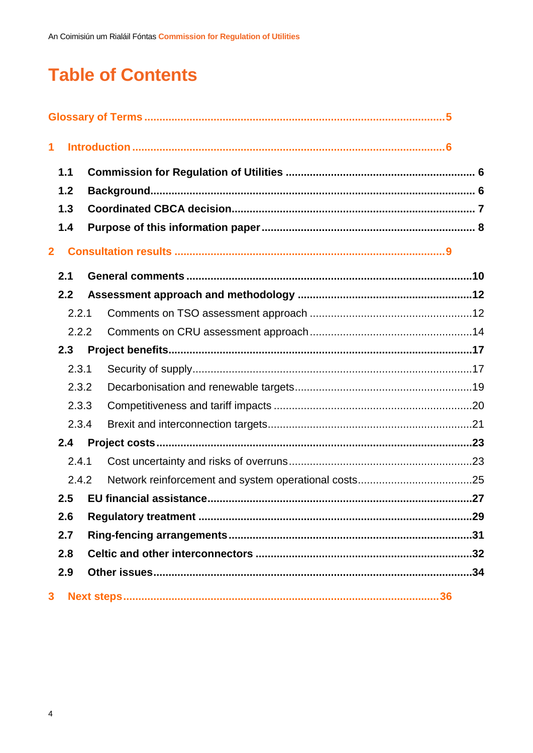# **Table of Contents**

| 1              |       |  |  |
|----------------|-------|--|--|
|                | 1.1   |  |  |
|                | 1.2   |  |  |
|                | 1.3   |  |  |
|                | 1.4   |  |  |
| $\overline{2}$ |       |  |  |
|                | 2.1   |  |  |
|                | 2.2   |  |  |
|                | 2.2.1 |  |  |
|                | 2.2.2 |  |  |
|                | 2.3   |  |  |
|                | 2.3.1 |  |  |
|                | 2.3.2 |  |  |
|                | 2.3.3 |  |  |
|                | 2.3.4 |  |  |
|                | 2.4   |  |  |
|                | 2.4.1 |  |  |
|                | 2.4.2 |  |  |
|                | 2.5   |  |  |
|                | 2.6   |  |  |
|                | 2.7   |  |  |
| 2.8            |       |  |  |
|                | 2.9   |  |  |
| 3              |       |  |  |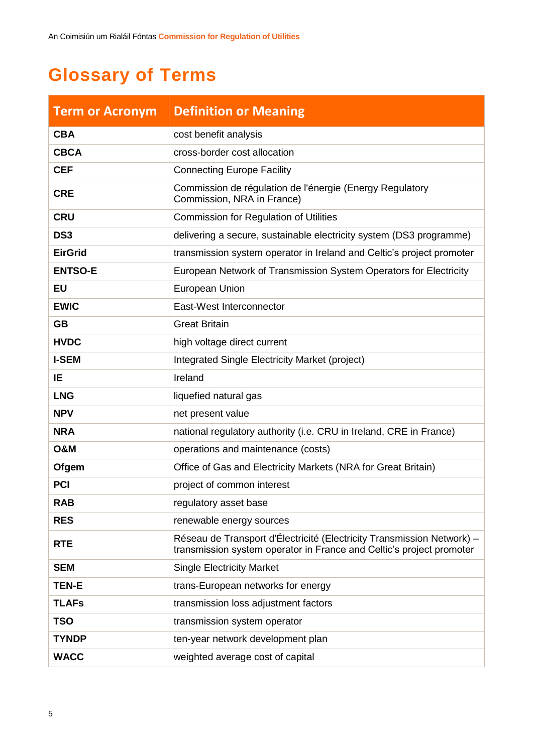# <span id="page-5-0"></span>**Glossary of Terms**

| <b>Term or Acronym</b> | <b>Definition or Meaning</b>                                                                                                                   |
|------------------------|------------------------------------------------------------------------------------------------------------------------------------------------|
| <b>CBA</b>             | cost benefit analysis                                                                                                                          |
| <b>CBCA</b>            | cross-border cost allocation                                                                                                                   |
| <b>CEF</b>             | <b>Connecting Europe Facility</b>                                                                                                              |
| <b>CRE</b>             | Commission de régulation de l'énergie (Energy Regulatory<br>Commission, NRA in France)                                                         |
| <b>CRU</b>             | <b>Commission for Regulation of Utilities</b>                                                                                                  |
| DS <sub>3</sub>        | delivering a secure, sustainable electricity system (DS3 programme)                                                                            |
| <b>EirGrid</b>         | transmission system operator in Ireland and Celtic's project promoter                                                                          |
| <b>ENTSO-E</b>         | European Network of Transmission System Operators for Electricity                                                                              |
| <b>EU</b>              | European Union                                                                                                                                 |
| <b>EWIC</b>            | East-West Interconnector                                                                                                                       |
| <b>GB</b>              | <b>Great Britain</b>                                                                                                                           |
| <b>HVDC</b>            | high voltage direct current                                                                                                                    |
| <b>I-SEM</b>           | Integrated Single Electricity Market (project)                                                                                                 |
| IE                     | Ireland                                                                                                                                        |
| <b>LNG</b>             | liquefied natural gas                                                                                                                          |
| <b>NPV</b>             | net present value                                                                                                                              |
| <b>NRA</b>             | national regulatory authority (i.e. CRU in Ireland, CRE in France)                                                                             |
| <b>O&amp;M</b>         | operations and maintenance (costs)                                                                                                             |
| Ofgem                  | Office of Gas and Electricity Markets (NRA for Great Britain)                                                                                  |
| <b>PCI</b>             | project of common interest                                                                                                                     |
| <b>RAB</b>             | regulatory asset base                                                                                                                          |
| <b>RES</b>             | renewable energy sources                                                                                                                       |
| <b>RTE</b>             | Réseau de Transport d'Électricité (Electricity Transmission Network) –<br>transmission system operator in France and Celtic's project promoter |
| <b>SEM</b>             | <b>Single Electricity Market</b>                                                                                                               |
| <b>TEN-E</b>           | trans-European networks for energy                                                                                                             |
| <b>TLAFs</b>           | transmission loss adjustment factors                                                                                                           |
| <b>TSO</b>             | transmission system operator                                                                                                                   |
| <b>TYNDP</b>           | ten-year network development plan                                                                                                              |
| <b>WACC</b>            | weighted average cost of capital                                                                                                               |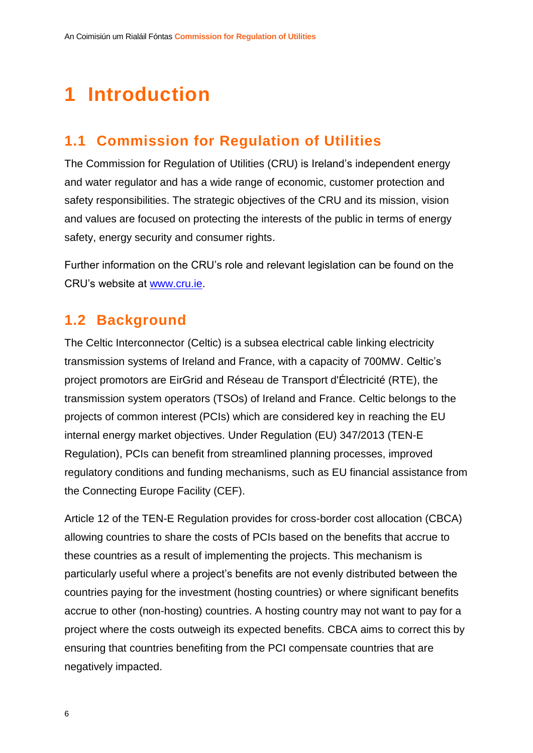# <span id="page-6-0"></span>**1 Introduction**

### <span id="page-6-1"></span>**1.1 Commission for Regulation of Utilities**

The Commission for Regulation of Utilities (CRU) is Ireland's independent energy and water regulator and has a wide range of economic, customer protection and safety responsibilities. The strategic objectives of the CRU and its mission, vision and values are focused on protecting the interests of the public in terms of energy safety, energy security and consumer rights.

Further information on the CRU's role and relevant legislation can be found on the CRU's website at [www.cru.ie.](http://www.cru.ie/)

### <span id="page-6-2"></span>**1.2 Background**

The Celtic Interconnector (Celtic) is a subsea electrical cable linking electricity transmission systems of Ireland and France, with a capacity of 700MW. Celtic's project promotors are EirGrid and Réseau de Transport d'Électricité (RTE), the transmission system operators (TSOs) of Ireland and France. Celtic belongs to the projects of common interest (PCIs) which are considered key in reaching the EU internal energy market objectives. Under Regulation (EU) 347/2013 (TEN-E Regulation), PCIs can benefit from streamlined planning processes, improved regulatory conditions and funding mechanisms, such as EU financial assistance from the Connecting Europe Facility (CEF).

Article 12 of the TEN-E Regulation provides for cross-border cost allocation (CBCA) allowing countries to share the costs of PCIs based on the benefits that accrue to these countries as a result of implementing the projects. This mechanism is particularly useful where a project's benefits are not evenly distributed between the countries paying for the investment (hosting countries) or where significant benefits accrue to other (non-hosting) countries. A hosting country may not want to pay for a project where the costs outweigh its expected benefits. CBCA aims to correct this by ensuring that countries benefiting from the PCI compensate countries that are negatively impacted.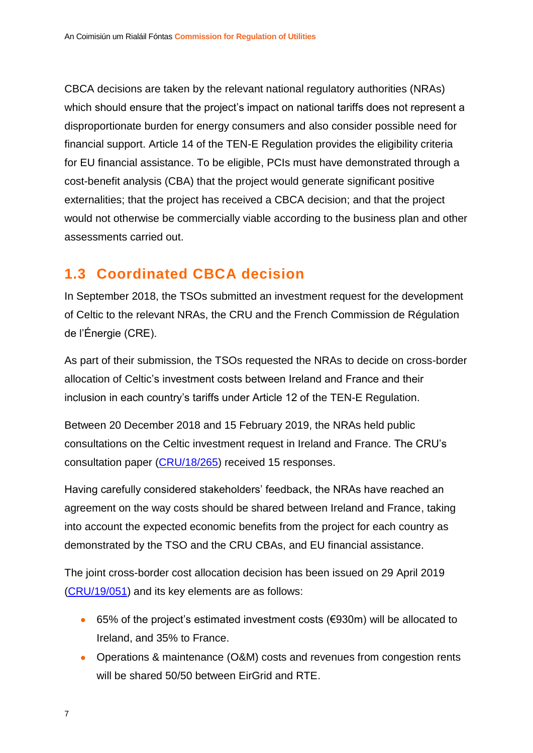CBCA decisions are taken by the relevant national regulatory authorities (NRAs) which should ensure that the project's impact on national tariffs does not represent a disproportionate burden for energy consumers and also consider possible need for financial support. Article 14 of the TEN-E Regulation provides the eligibility criteria for EU financial assistance. To be eligible, PCIs must have demonstrated through a cost-benefit analysis (CBA) that the project would generate significant positive externalities; that the project has received a CBCA decision; and that the project would not otherwise be commercially viable according to the business plan and other assessments carried out.

# <span id="page-7-0"></span>**1.3 Coordinated CBCA decision**

In September 2018, the TSOs submitted an investment request for the development of Celtic to the relevant NRAs, the CRU and the French Commission de Régulation de l'Énergie (CRE).

As part of their submission, the TSOs requested the NRAs to decide on cross-border allocation of Celtic's investment costs between Ireland and France and their inclusion in each country's tariffs under Article 12 of the TEN-E Regulation.

Between 20 December 2018 and 15 February 2019, the NRAs held public consultations on the Celtic investment request in Ireland and France. The CRU's consultation paper [\(CRU/18/265\)](https://www.cru.ie/document_group/celtic-electricity-interconnector/) received 15 responses.

Having carefully considered stakeholders' feedback, the NRAs have reached an agreement on the way costs should be shared between Ireland and France, taking into account the expected economic benefits from the project for each country as demonstrated by the TSO and the CRU CBAs, and EU financial assistance.

The joint cross-border cost allocation decision has been issued on 29 April 2019 [\(CRU/19/051\)](https://www.cru.ie/document_group/celtic-electricity-interconnector/) and its key elements are as follows:

- 65% of the project's estimated investment costs (€930m) will be allocated to Ireland, and 35% to France.
- Operations & maintenance (O&M) costs and revenues from congestion rents will be shared 50/50 between EirGrid and RTE.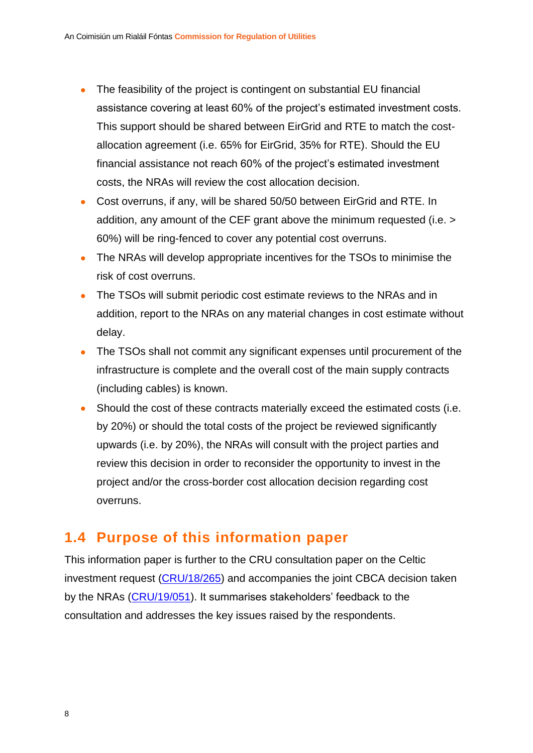- The feasibility of the project is contingent on substantial EU financial assistance covering at least 60% of the project's estimated investment costs. This support should be shared between EirGrid and RTE to match the costallocation agreement (i.e. 65% for EirGrid, 35% for RTE). Should the EU financial assistance not reach 60% of the project's estimated investment costs, the NRAs will review the cost allocation decision.
- Cost overruns, if any, will be shared 50/50 between EirGrid and RTE. In addition, any amount of the CEF grant above the minimum requested (i.e. > 60%) will be ring-fenced to cover any potential cost overruns.
- The NRAs will develop appropriate incentives for the TSOs to minimise the risk of cost overruns.
- The TSOs will submit periodic cost estimate reviews to the NRAs and in addition, report to the NRAs on any material changes in cost estimate without delay.
- The TSOs shall not commit any significant expenses until procurement of the infrastructure is complete and the overall cost of the main supply contracts (including cables) is known.
- Should the cost of these contracts materially exceed the estimated costs (i.e. by 20%) or should the total costs of the project be reviewed significantly upwards (i.e. by 20%), the NRAs will consult with the project parties and review this decision in order to reconsider the opportunity to invest in the project and/or the cross-border cost allocation decision regarding cost overruns.

### <span id="page-8-0"></span>**1.4 Purpose of this information paper**

This information paper is further to the CRU consultation paper on the Celtic investment request [\(CRU/18/265\)](https://www.cru.ie/document_group/celtic-electricity-interconnector/) and accompanies the joint CBCA decision taken by the NRAs [\(CRU/19/051\)](https://www.cru.ie/document_group/celtic-electricity-interconnector/). It summarises stakeholders' feedback to the consultation and addresses the key issues raised by the respondents.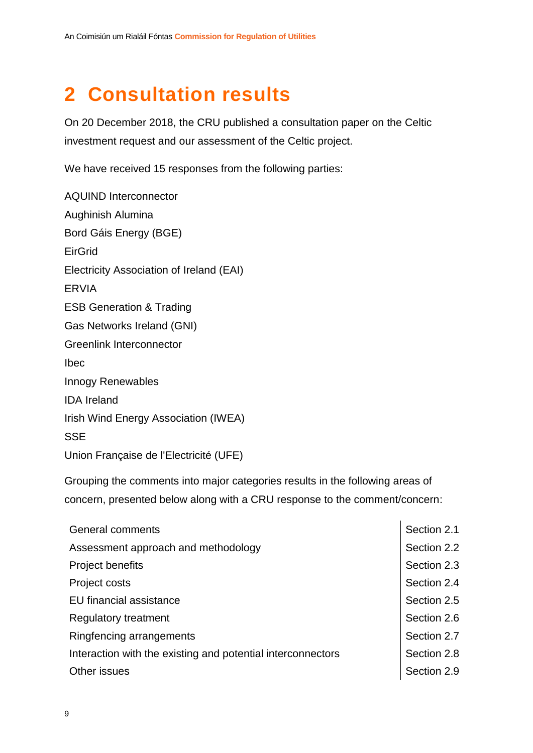# <span id="page-9-0"></span>**2 Consultation results**

On 20 December 2018, the CRU published a consultation paper on the Celtic investment request and our assessment of the Celtic project.

We have received 15 responses from the following parties:

AQUIND Interconnector Aughinish Alumina Bord Gáis Energy (BGE) EirGrid Electricity Association of Ireland (EAI) ERVIA ESB Generation & Trading Gas Networks Ireland (GNI) Greenlink Interconnector Ibec Innogy Renewables IDA Ireland Irish Wind Energy Association (IWEA) **SSE** Union Française de l'Electricité (UFE)

Grouping the comments into major categories results in the following areas of concern, presented below along with a CRU response to the comment/concern:

| <b>General comments</b>                                     |             |  |
|-------------------------------------------------------------|-------------|--|
| Assessment approach and methodology                         |             |  |
| <b>Project benefits</b>                                     | Section 2.3 |  |
| Project costs                                               | Section 2.4 |  |
| <b>EU</b> financial assistance                              | Section 2.5 |  |
| <b>Regulatory treatment</b>                                 | Section 2.6 |  |
| Ringfencing arrangements                                    | Section 2.7 |  |
| Interaction with the existing and potential interconnectors | Section 2.8 |  |
| Other issues                                                |             |  |

 $\mathbf{r}$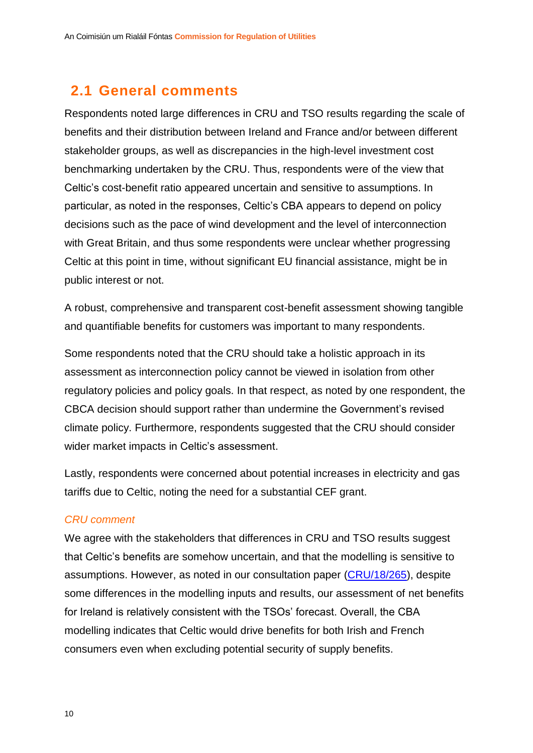### <span id="page-10-0"></span>**2.1 General comments**

Respondents noted large differences in CRU and TSO results regarding the scale of benefits and their distribution between Ireland and France and/or between different stakeholder groups, as well as discrepancies in the high-level investment cost benchmarking undertaken by the CRU. Thus, respondents were of the view that Celtic's cost-benefit ratio appeared uncertain and sensitive to assumptions. In particular, as noted in the responses, Celtic's CBA appears to depend on policy decisions such as the pace of wind development and the level of interconnection with Great Britain, and thus some respondents were unclear whether progressing Celtic at this point in time, without significant EU financial assistance, might be in public interest or not.

A robust, comprehensive and transparent cost-benefit assessment showing tangible and quantifiable benefits for customers was important to many respondents.

Some respondents noted that the CRU should take a holistic approach in its assessment as interconnection policy cannot be viewed in isolation from other regulatory policies and policy goals. In that respect, as noted by one respondent, the CBCA decision should support rather than undermine the Government's revised climate policy. Furthermore, respondents suggested that the CRU should consider wider market impacts in Celtic's assessment.

Lastly, respondents were concerned about potential increases in electricity and gas tariffs due to Celtic, noting the need for a substantial CEF grant.

#### *CRU comment*

We agree with the stakeholders that differences in CRU and TSO results suggest that Celtic's benefits are somehow uncertain, and that the modelling is sensitive to assumptions. However, as noted in our consultation paper [\(CRU/18/265\)](https://www.cru.ie/document_group/celtic-electricity-interconnector/), despite some differences in the modelling inputs and results, our assessment of net benefits for Ireland is relatively consistent with the TSOs' forecast. Overall, the CBA modelling indicates that Celtic would drive benefits for both Irish and French consumers even when excluding potential security of supply benefits.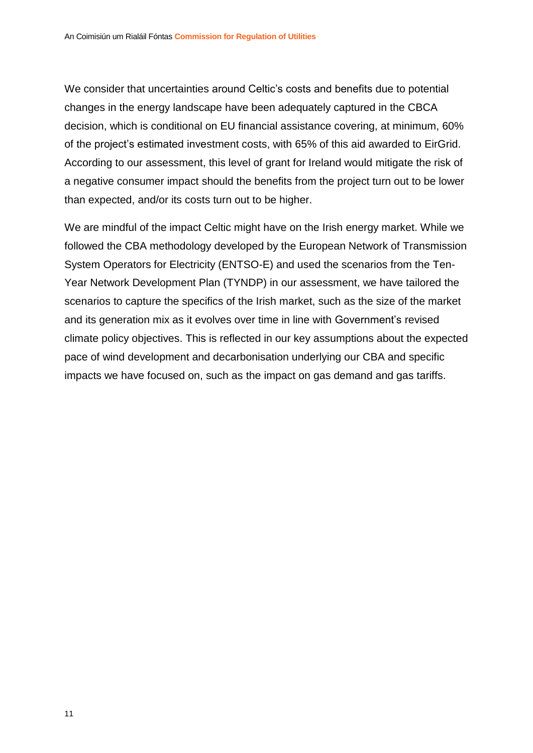We consider that uncertainties around Celtic's costs and benefits due to potential changes in the energy landscape have been adequately captured in the CBCA decision, which is conditional on EU financial assistance covering, at minimum, 60% of the project's estimated investment costs, with 65% of this aid awarded to EirGrid. According to our assessment, this level of grant for Ireland would mitigate the risk of a negative consumer impact should the benefits from the project turn out to be lower than expected, and/or its costs turn out to be higher.

We are mindful of the impact Celtic might have on the Irish energy market. While we followed the CBA methodology developed by the European Network of Transmission System Operators for Electricity (ENTSO-E) and used the scenarios from the Ten-Year Network Development Plan (TYNDP) in our assessment, we have tailored the scenarios to capture the specifics of the Irish market, such as the size of the market and its generation mix as it evolves over time in line with Government's revised climate policy objectives. This is reflected in our key assumptions about the expected pace of wind development and decarbonisation underlying our CBA and specific impacts we have focused on, such as the impact on gas demand and gas tariffs.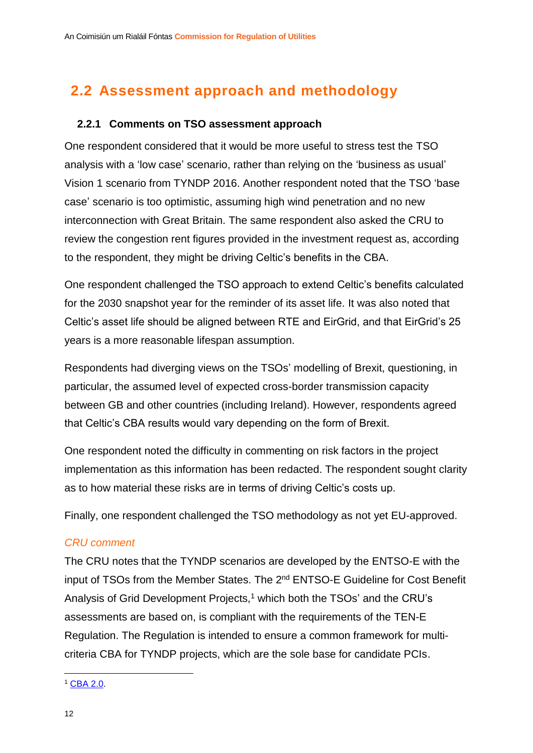# <span id="page-12-0"></span>**2.2 Assessment approach and methodology**

#### <span id="page-12-1"></span>**2.2.1 Comments on TSO assessment approach**

One respondent considered that it would be more useful to stress test the TSO analysis with a 'low case' scenario, rather than relying on the 'business as usual' Vision 1 scenario from TYNDP 2016. Another respondent noted that the TSO 'base case' scenario is too optimistic, assuming high wind penetration and no new interconnection with Great Britain. The same respondent also asked the CRU to review the congestion rent figures provided in the investment request as, according to the respondent, they might be driving Celtic's benefits in the CBA.

One respondent challenged the TSO approach to extend Celtic's benefits calculated for the 2030 snapshot year for the reminder of its asset life. It was also noted that Celtic's asset life should be aligned between RTE and EirGrid, and that EirGrid's 25 years is a more reasonable lifespan assumption.

Respondents had diverging views on the TSOs' modelling of Brexit, questioning, in particular, the assumed level of expected cross-border transmission capacity between GB and other countries (including Ireland). However, respondents agreed that Celtic's CBA results would vary depending on the form of Brexit.

One respondent noted the difficulty in commenting on risk factors in the project implementation as this information has been redacted. The respondent sought clarity as to how material these risks are in terms of driving Celtic's costs up.

Finally, one respondent challenged the TSO methodology as not yet EU-approved.

#### *CRU comment*

The CRU notes that the TYNDP scenarios are developed by the ENTSO-E with the input of TSOs from the Member States. The 2<sup>nd</sup> ENTSO-E Guideline for Cost Benefit Analysis of Grid Development Projects,<sup>1</sup> which both the TSOs' and the CRU's assessments are based on, is compliant with the requirements of the TEN-E Regulation. The Regulation is intended to ensure a common framework for multicriteria CBA for TYNDP projects, which are the sole base for candidate PCIs.

1

<sup>1</sup> [CBA 2.0.](https://tyndp.entsoe.eu/cba/)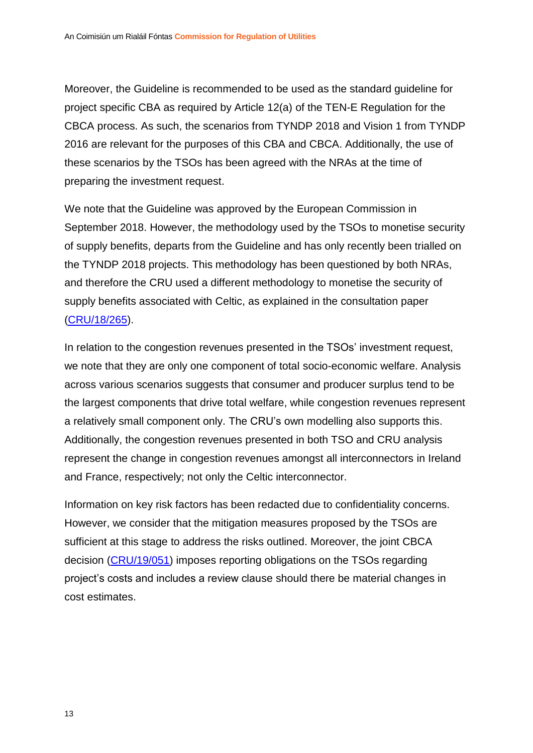Moreover, the Guideline is recommended to be used as the standard guideline for project specific CBA as required by Article 12(a) of the TEN-E Regulation for the CBCA process. As such, the scenarios from TYNDP 2018 and Vision 1 from TYNDP 2016 are relevant for the purposes of this CBA and CBCA. Additionally, the use of these scenarios by the TSOs has been agreed with the NRAs at the time of preparing the investment request.

We note that the Guideline was approved by the European Commission in September 2018. However, the methodology used by the TSOs to monetise security of supply benefits, departs from the Guideline and has only recently been trialled on the TYNDP 2018 projects. This methodology has been questioned by both NRAs, and therefore the CRU used a different methodology to monetise the security of supply benefits associated with Celtic, as explained in the consultation paper [\(CRU/18/265\)](https://www.cru.ie/document_group/celtic-electricity-interconnector/).

In relation to the congestion revenues presented in the TSOs' investment request, we note that they are only one component of total socio-economic welfare. Analysis across various scenarios suggests that consumer and producer surplus tend to be the largest components that drive total welfare, while congestion revenues represent a relatively small component only. The CRU's own modelling also supports this. Additionally, the congestion revenues presented in both TSO and CRU analysis represent the change in congestion revenues amongst all interconnectors in Ireland and France, respectively; not only the Celtic interconnector.

Information on key risk factors has been redacted due to confidentiality concerns. However, we consider that the mitigation measures proposed by the TSOs are sufficient at this stage to address the risks outlined. Moreover, the joint CBCA decision [\(CRU/19/051\)](https://www.cru.ie/document_group/celtic-electricity-interconnector/) imposes reporting obligations on the TSOs regarding project's costs and includes a review clause should there be material changes in cost estimates.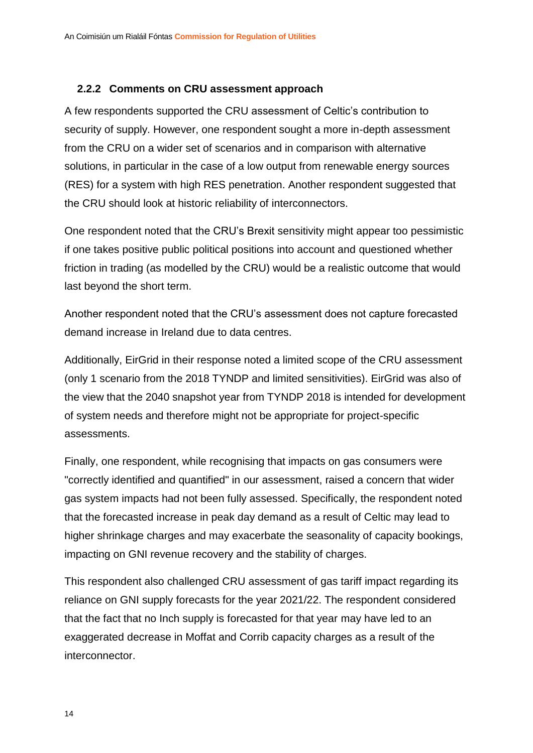#### <span id="page-14-0"></span>**2.2.2 Comments on CRU assessment approach**

A few respondents supported the CRU assessment of Celtic's contribution to security of supply. However, one respondent sought a more in-depth assessment from the CRU on a wider set of scenarios and in comparison with alternative solutions, in particular in the case of a low output from renewable energy sources (RES) for a system with high RES penetration. Another respondent suggested that the CRU should look at historic reliability of interconnectors.

One respondent noted that the CRU's Brexit sensitivity might appear too pessimistic if one takes positive public political positions into account and questioned whether friction in trading (as modelled by the CRU) would be a realistic outcome that would last beyond the short term.

Another respondent noted that the CRU's assessment does not capture forecasted demand increase in Ireland due to data centres.

Additionally, EirGrid in their response noted a limited scope of the CRU assessment (only 1 scenario from the 2018 TYNDP and limited sensitivities). EirGrid was also of the view that the 2040 snapshot year from TYNDP 2018 is intended for development of system needs and therefore might not be appropriate for project-specific assessments.

Finally, one respondent, while recognising that impacts on gas consumers were "correctly identified and quantified" in our assessment, raised a concern that wider gas system impacts had not been fully assessed. Specifically, the respondent noted that the forecasted increase in peak day demand as a result of Celtic may lead to higher shrinkage charges and may exacerbate the seasonality of capacity bookings, impacting on GNI revenue recovery and the stability of charges.

This respondent also challenged CRU assessment of gas tariff impact regarding its reliance on GNI supply forecasts for the year 2021/22. The respondent considered that the fact that no Inch supply is forecasted for that year may have led to an exaggerated decrease in Moffat and Corrib capacity charges as a result of the interconnector.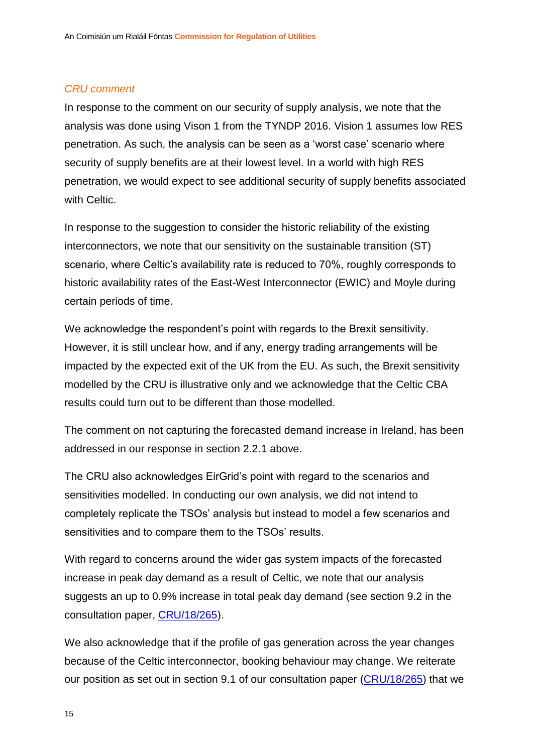#### *CRU comment*

In response to the comment on our security of supply analysis, we note that the analysis was done using Vison 1 from the TYNDP 2016. Vision 1 assumes low RES penetration. As such, the analysis can be seen as a 'worst case' scenario where security of supply benefits are at their lowest level. In a world with high RES penetration, we would expect to see additional security of supply benefits associated with Celtic.

In response to the suggestion to consider the historic reliability of the existing interconnectors, we note that our sensitivity on the sustainable transition (ST) scenario, where Celtic's availability rate is reduced to 70%, roughly corresponds to historic availability rates of the East-West Interconnector (EWIC) and Moyle during certain periods of time.

We acknowledge the respondent's point with regards to the Brexit sensitivity. However, it is still unclear how, and if any, energy trading arrangements will be impacted by the expected exit of the UK from the EU. As such, the Brexit sensitivity modelled by the CRU is illustrative only and we acknowledge that the Celtic CBA results could turn out to be different than those modelled.

The comment on not capturing the forecasted demand increase in Ireland, has been addressed in our response in section [2.2.1](#page-12-1) above.

The CRU also acknowledges EirGrid's point with regard to the scenarios and sensitivities modelled. In conducting our own analysis, we did not intend to completely replicate the TSOs' analysis but instead to model a few scenarios and sensitivities and to compare them to the TSOs' results.

With regard to concerns around the wider gas system impacts of the forecasted increase in peak day demand as a result of Celtic, we note that our analysis suggests an up to 0.9% increase in total peak day demand (see section 9.2 in the consultation paper, [CRU/18/265\)](https://www.cru.ie/document_group/celtic-electricity-interconnector/).

We also acknowledge that if the profile of gas generation across the year changes because of the Celtic interconnector, booking behaviour may change. We reiterate our position as set out in section 9.1 of our consultation paper [\(CRU/18/265\)](https://www.cru.ie/document_group/celtic-electricity-interconnector/) that we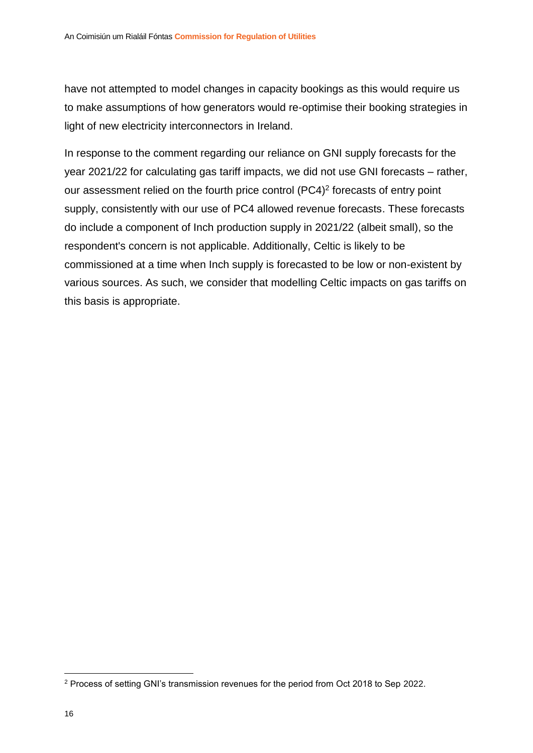have not attempted to model changes in capacity bookings as this would require us to make assumptions of how generators would re-optimise their booking strategies in light of new electricity interconnectors in Ireland.

In response to the comment regarding our reliance on GNI supply forecasts for the year 2021/22 for calculating gas tariff impacts, we did not use GNI forecasts – rather, our assessment relied on the fourth price control (PC4)<sup>2</sup> forecasts of entry point supply, consistently with our use of PC4 allowed revenue forecasts. These forecasts do include a component of Inch production supply in 2021/22 (albeit small), so the respondent's concern is not applicable. Additionally, Celtic is likely to be commissioned at a time when Inch supply is forecasted to be low or non-existent by various sources. As such, we consider that modelling Celtic impacts on gas tariffs on this basis is appropriate.

1

<sup>2</sup> Process of setting GNI's transmission revenues for the period from Oct 2018 to Sep 2022.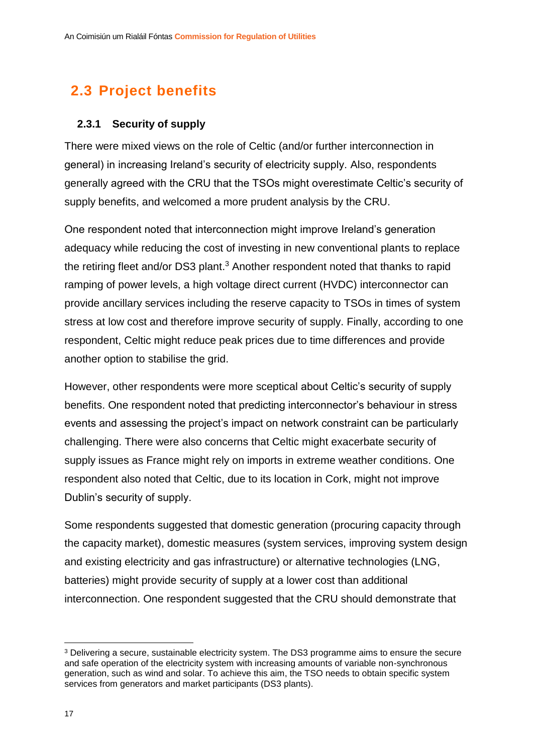# <span id="page-17-0"></span>**2.3 Project benefits**

#### <span id="page-17-1"></span>**2.3.1 Security of supply**

There were mixed views on the role of Celtic (and/or further interconnection in general) in increasing Ireland's security of electricity supply. Also, respondents generally agreed with the CRU that the TSOs might overestimate Celtic's security of supply benefits, and welcomed a more prudent analysis by the CRU.

One respondent noted that interconnection might improve Ireland's generation adequacy while reducing the cost of investing in new conventional plants to replace the retiring fleet and/or DS3 plant.<sup>3</sup> Another respondent noted that thanks to rapid ramping of power levels, a high voltage direct current (HVDC) interconnector can provide ancillary services including the reserve capacity to TSOs in times of system stress at low cost and therefore improve security of supply. Finally, according to one respondent, Celtic might reduce peak prices due to time differences and provide another option to stabilise the grid.

However, other respondents were more sceptical about Celtic's security of supply benefits. One respondent noted that predicting interconnector's behaviour in stress events and assessing the project's impact on network constraint can be particularly challenging. There were also concerns that Celtic might exacerbate security of supply issues as France might rely on imports in extreme weather conditions. One respondent also noted that Celtic, due to its location in Cork, might not improve Dublin's security of supply.

Some respondents suggested that domestic generation (procuring capacity through the capacity market), domestic measures (system services, improving system design and existing electricity and gas infrastructure) or alternative technologies (LNG, batteries) might provide security of supply at a lower cost than additional interconnection. One respondent suggested that the CRU should demonstrate that

1

<sup>3</sup> Delivering a secure, sustainable electricity system. The DS3 programme aims to ensure the secure and safe operation of the electricity system with increasing amounts of variable non-synchronous generation, such as wind and solar. To achieve this aim, the TSO needs to obtain specific system services from generators and market participants (DS3 plants).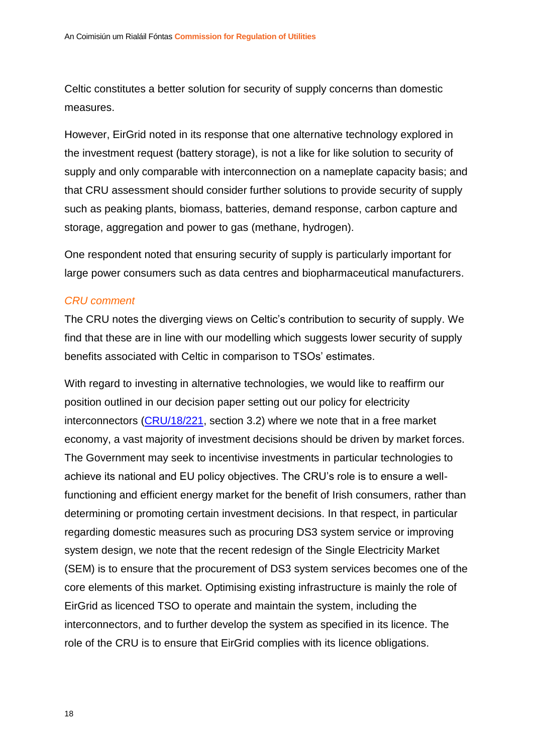Celtic constitutes a better solution for security of supply concerns than domestic measures.

However, EirGrid noted in its response that one alternative technology explored in the investment request (battery storage), is not a like for like solution to security of supply and only comparable with interconnection on a nameplate capacity basis; and that CRU assessment should consider further solutions to provide security of supply such as peaking plants, biomass, batteries, demand response, carbon capture and storage, aggregation and power to gas (methane, hydrogen).

One respondent noted that ensuring security of supply is particularly important for large power consumers such as data centres and biopharmaceutical manufacturers.

#### *CRU comment*

The CRU notes the diverging views on Celtic's contribution to security of supply. We find that these are in line with our modelling which suggests lower security of supply benefits associated with Celtic in comparison to TSOs' estimates.

With regard to investing in alternative technologies, we would like to reaffirm our position outlined in our decision paper setting out our policy for electricity interconnectors [\(CRU/18/221,](https://www.cru.ie/document_group/policy-for-electricity-interconnectors/) section 3.2) where we note that in a free market economy, a vast majority of investment decisions should be driven by market forces. The Government may seek to incentivise investments in particular technologies to achieve its national and EU policy objectives. The CRU's role is to ensure a wellfunctioning and efficient energy market for the benefit of Irish consumers, rather than determining or promoting certain investment decisions. In that respect, in particular regarding domestic measures such as procuring DS3 system service or improving system design, we note that the recent redesign of the Single Electricity Market (SEM) is to ensure that the procurement of DS3 system services becomes one of the core elements of this market. Optimising existing infrastructure is mainly the role of EirGrid as licenced TSO to operate and maintain the system, including the interconnectors, and to further develop the system as specified in its licence. The role of the CRU is to ensure that EirGrid complies with its licence obligations.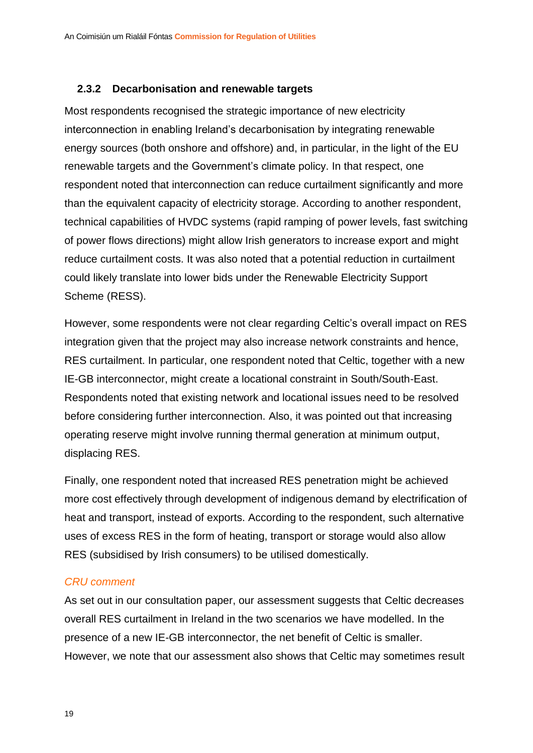#### <span id="page-19-0"></span>**2.3.2 Decarbonisation and renewable targets**

Most respondents recognised the strategic importance of new electricity interconnection in enabling Ireland's decarbonisation by integrating renewable energy sources (both onshore and offshore) and, in particular, in the light of the EU renewable targets and the Government's climate policy. In that respect, one respondent noted that interconnection can reduce curtailment significantly and more than the equivalent capacity of electricity storage. According to another respondent, technical capabilities of HVDC systems (rapid ramping of power levels, fast switching of power flows directions) might allow Irish generators to increase export and might reduce curtailment costs. It was also noted that a potential reduction in curtailment could likely translate into lower bids under the Renewable Electricity Support Scheme (RESS).

However, some respondents were not clear regarding Celtic's overall impact on RES integration given that the project may also increase network constraints and hence, RES curtailment. In particular, one respondent noted that Celtic, together with a new IE-GB interconnector, might create a locational constraint in South/South-East. Respondents noted that existing network and locational issues need to be resolved before considering further interconnection. Also, it was pointed out that increasing operating reserve might involve running thermal generation at minimum output, displacing RES.

Finally, one respondent noted that increased RES penetration might be achieved more cost effectively through development of indigenous demand by electrification of heat and transport, instead of exports. According to the respondent, such alternative uses of excess RES in the form of heating, transport or storage would also allow RES (subsidised by Irish consumers) to be utilised domestically.

#### *CRU comment*

As set out in our consultation paper, our assessment suggests that Celtic decreases overall RES curtailment in Ireland in the two scenarios we have modelled. In the presence of a new IE-GB interconnector, the net benefit of Celtic is smaller. However, we note that our assessment also shows that Celtic may sometimes result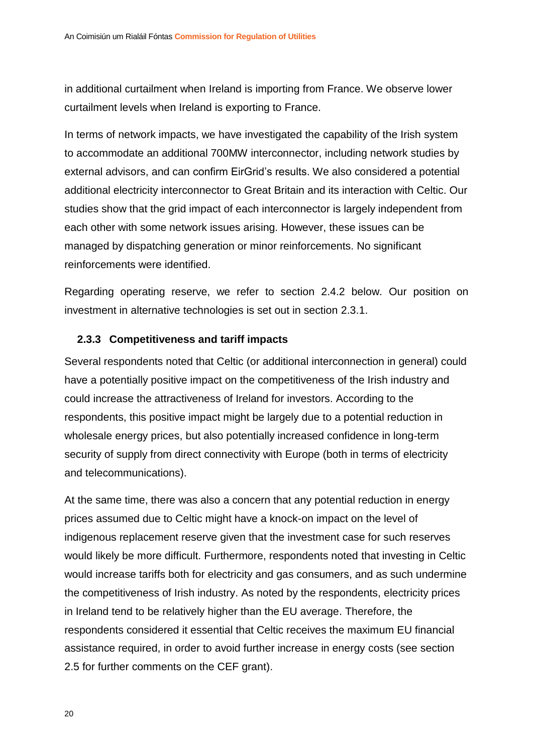in additional curtailment when Ireland is importing from France. We observe lower curtailment levels when Ireland is exporting to France.

In terms of network impacts, we have investigated the capability of the Irish system to accommodate an additional 700MW interconnector, including network studies by external advisors, and can confirm EirGrid's results. We also considered a potential additional electricity interconnector to Great Britain and its interaction with Celtic. Our studies show that the grid impact of each interconnector is largely independent from each other with some network issues arising. However, these issues can be managed by dispatching generation or minor reinforcements. No significant reinforcements were identified.

Regarding operating reserve, we refer to section [2.4.2](#page-25-0) below. Our position on investment in alternative technologies is set out in section [2.3.1.](#page-17-1)

#### <span id="page-20-0"></span>**2.3.3 Competitiveness and tariff impacts**

Several respondents noted that Celtic (or additional interconnection in general) could have a potentially positive impact on the competitiveness of the Irish industry and could increase the attractiveness of Ireland for investors. According to the respondents, this positive impact might be largely due to a potential reduction in wholesale energy prices, but also potentially increased confidence in long-term security of supply from direct connectivity with Europe (both in terms of electricity and telecommunications).

At the same time, there was also a concern that any potential reduction in energy prices assumed due to Celtic might have a knock-on impact on the level of indigenous replacement reserve given that the investment case for such reserves would likely be more difficult. Furthermore, respondents noted that investing in Celtic would increase tariffs both for electricity and gas consumers, and as such undermine the competitiveness of Irish industry. As noted by the respondents, electricity prices in Ireland tend to be relatively higher than the EU average. Therefore, the respondents considered it essential that Celtic receives the maximum EU financial assistance required, in order to avoid further increase in energy costs (see section [2.5](#page-27-0) for further comments on the CEF grant).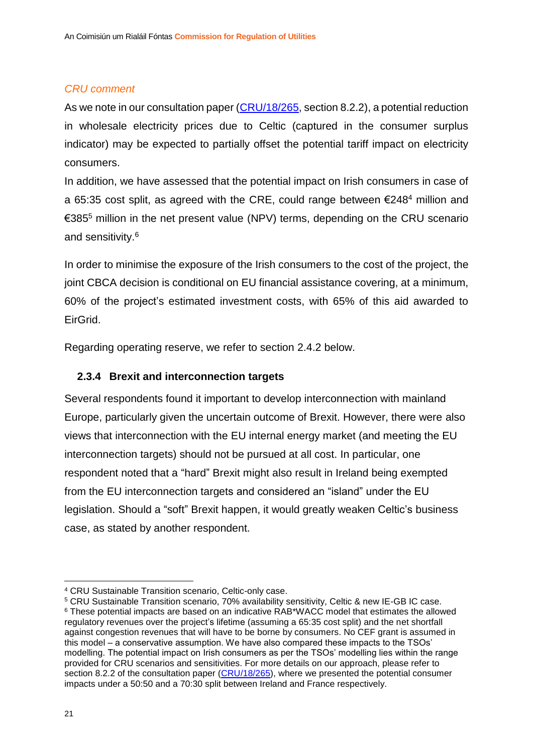#### *CRU comment*

As we note in our consultation paper [\(CRU/18/265,](https://www.cru.ie/document_group/celtic-electricity-interconnector/) section 8.2.2), a potential reduction in wholesale electricity prices due to Celtic (captured in the consumer surplus indicator) may be expected to partially offset the potential tariff impact on electricity consumers.

In addition, we have assessed that the potential impact on Irish consumers in case of a 65:35 cost split, as agreed with the CRE, could range between  $\epsilon$ 248<sup>4</sup> million and €385<sup>5</sup> million in the net present value (NPV) terms, depending on the CRU scenario and sensitivity. 6

In order to minimise the exposure of the Irish consumers to the cost of the project, the joint CBCA decision is conditional on EU financial assistance covering, at a minimum, 60% of the project's estimated investment costs, with 65% of this aid awarded to EirGrid.

Regarding operating reserve, we refer to section [2.4.2](#page-25-0) below.

#### <span id="page-21-0"></span>**2.3.4 Brexit and interconnection targets**

Several respondents found it important to develop interconnection with mainland Europe, particularly given the uncertain outcome of Brexit. However, there were also views that interconnection with the EU internal energy market (and meeting the EU interconnection targets) should not be pursued at all cost. In particular, one respondent noted that a "hard" Brexit might also result in Ireland being exempted from the EU interconnection targets and considered an "island" under the EU legislation. Should a "soft" Brexit happen, it would greatly weaken Celtic's business case, as stated by another respondent.

<sup>1</sup> <sup>4</sup> CRU Sustainable Transition scenario, Celtic-only case.

<sup>5</sup> CRU Sustainable Transition scenario, 70% availability sensitivity, Celtic & new IE-GB IC case. <sup>6</sup> These potential impacts are based on an indicative RAB\*WACC model that estimates the allowed regulatory revenues over the project's lifetime (assuming a 65:35 cost split) and the net shortfall against congestion revenues that will have to be borne by consumers. No CEF grant is assumed in this model – a conservative assumption. We have also compared these impacts to the TSOs' modelling. The potential impact on Irish consumers as per the TSOs' modelling lies within the range provided for CRU scenarios and sensitivities. For more details on our approach, please refer to section 8.2.2 of the consultation paper [\(CRU/18/265\)](https://www.cru.ie/wp-content/uploads/2019/01/CRU18265-Celtic-Interconnector-CRU-assessment-of-the-Celtic-investment-request-Consultation-Paper.pdf), where we presented the potential consumer impacts under a 50:50 and a 70:30 split between Ireland and France respectively.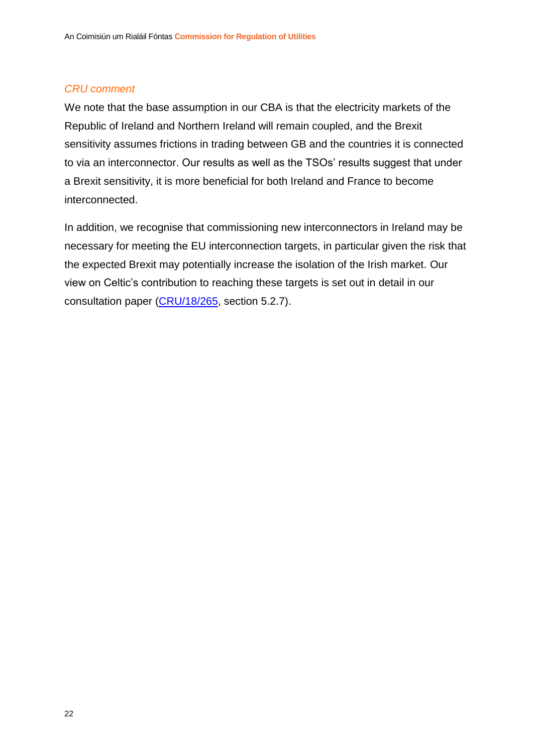#### *CRU comment*

We note that the base assumption in our CBA is that the electricity markets of the Republic of Ireland and Northern Ireland will remain coupled, and the Brexit sensitivity assumes frictions in trading between GB and the countries it is connected to via an interconnector. Our results as well as the TSOs' results suggest that under a Brexit sensitivity, it is more beneficial for both Ireland and France to become interconnected.

In addition, we recognise that commissioning new interconnectors in Ireland may be necessary for meeting the EU interconnection targets, in particular given the risk that the expected Brexit may potentially increase the isolation of the Irish market. Our view on Celtic's contribution to reaching these targets is set out in detail in our consultation paper [\(CRU/18/265,](https://www.cru.ie/document_group/celtic-electricity-interconnector/) section 5.2.7).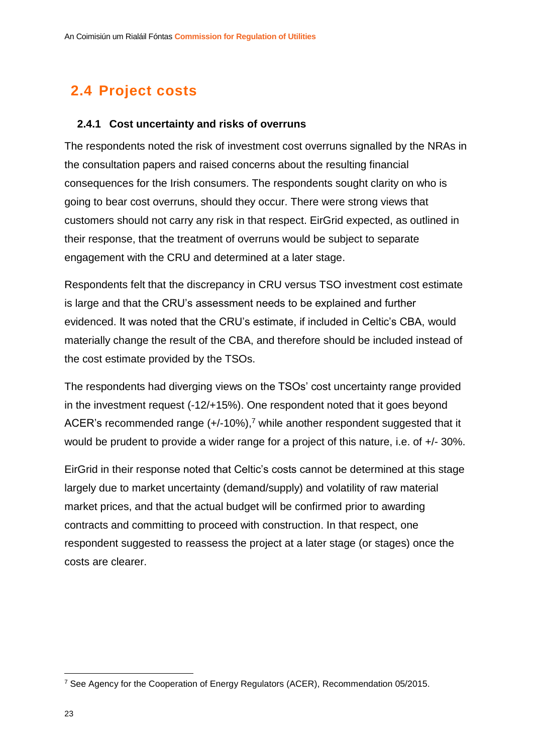# <span id="page-23-0"></span>**2.4 Project costs**

#### <span id="page-23-1"></span>**2.4.1 Cost uncertainty and risks of overruns**

The respondents noted the risk of investment cost overruns signalled by the NRAs in the consultation papers and raised concerns about the resulting financial consequences for the Irish consumers. The respondents sought clarity on who is going to bear cost overruns, should they occur. There were strong views that customers should not carry any risk in that respect. EirGrid expected, as outlined in their response, that the treatment of overruns would be subject to separate engagement with the CRU and determined at a later stage.

Respondents felt that the discrepancy in CRU versus TSO investment cost estimate is large and that the CRU's assessment needs to be explained and further evidenced. It was noted that the CRU's estimate, if included in Celtic's CBA, would materially change the result of the CBA, and therefore should be included instead of the cost estimate provided by the TSOs.

The respondents had diverging views on the TSOs' cost uncertainty range provided in the investment request (-12/+15%). One respondent noted that it goes beyond ACER's recommended range  $(+/-10\%)$ ,<sup>7</sup> while another respondent suggested that it would be prudent to provide a wider range for a project of this nature, i.e. of +/- 30%.

EirGrid in their response noted that Celtic's costs cannot be determined at this stage largely due to market uncertainty (demand/supply) and volatility of raw material market prices, and that the actual budget will be confirmed prior to awarding contracts and committing to proceed with construction. In that respect, one respondent suggested to reassess the project at a later stage (or stages) once the costs are clearer.

1

<sup>7</sup> See Agency for the Cooperation of Energy Regulators (ACER), Recommendation 05/2015.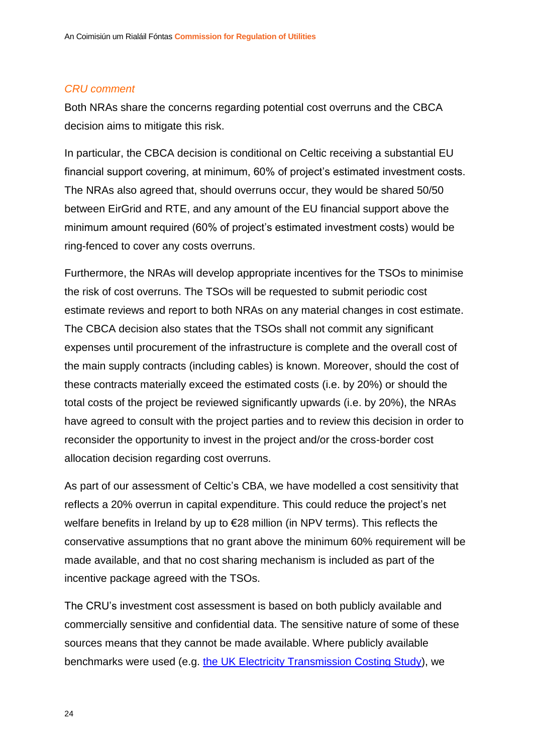#### *CRU comment*

Both NRAs share the concerns regarding potential cost overruns and the CBCA decision aims to mitigate this risk.

In particular, the CBCA decision is conditional on Celtic receiving a substantial EU financial support covering, at minimum, 60% of project's estimated investment costs. The NRAs also agreed that, should overruns occur, they would be shared 50/50 between EirGrid and RTE, and any amount of the EU financial support above the minimum amount required (60% of project's estimated investment costs) would be ring-fenced to cover any costs overruns.

Furthermore, the NRAs will develop appropriate incentives for the TSOs to minimise the risk of cost overruns. The TSOs will be requested to submit periodic cost estimate reviews and report to both NRAs on any material changes in cost estimate. The CBCA decision also states that the TSOs shall not commit any significant expenses until procurement of the infrastructure is complete and the overall cost of the main supply contracts (including cables) is known. Moreover, should the cost of these contracts materially exceed the estimated costs (i.e. by 20%) or should the total costs of the project be reviewed significantly upwards (i.e. by 20%), the NRAs have agreed to consult with the project parties and to review this decision in order to reconsider the opportunity to invest in the project and/or the cross-border cost allocation decision regarding cost overruns.

As part of our assessment of Celtic's CBA, we have modelled a cost sensitivity that reflects a 20% overrun in capital expenditure. This could reduce the project's net welfare benefits in Ireland by up to €28 million (in NPV terms). This reflects the conservative assumptions that no grant above the minimum 60% requirement will be made available, and that no cost sharing mechanism is included as part of the incentive package agreed with the TSOs.

The CRU's investment cost assessment is based on both publicly available and commercially sensitive and confidential data. The sensitive nature of some of these sources means that they cannot be made available. Where publicly available benchmarks were used (e.g. [the UK Electricity Transmission Costing Study\)](https://www.theiet.org/impact-society/factfiles/energy/policy-briefings/electricity-transmission-costing/), we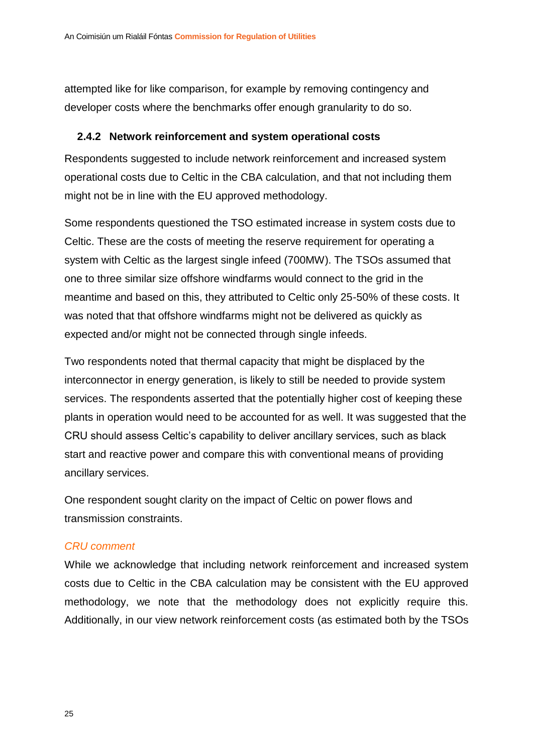attempted like for like comparison, for example by removing contingency and developer costs where the benchmarks offer enough granularity to do so.

#### <span id="page-25-0"></span>**2.4.2 Network reinforcement and system operational costs**

Respondents suggested to include network reinforcement and increased system operational costs due to Celtic in the CBA calculation, and that not including them might not be in line with the EU approved methodology.

Some respondents questioned the TSO estimated increase in system costs due to Celtic. These are the costs of meeting the reserve requirement for operating a system with Celtic as the largest single infeed (700MW). The TSOs assumed that one to three similar size offshore windfarms would connect to the grid in the meantime and based on this, they attributed to Celtic only 25-50% of these costs. It was noted that that offshore windfarms might not be delivered as quickly as expected and/or might not be connected through single infeeds.

Two respondents noted that thermal capacity that might be displaced by the interconnector in energy generation, is likely to still be needed to provide system services. The respondents asserted that the potentially higher cost of keeping these plants in operation would need to be accounted for as well. It was suggested that the CRU should assess Celtic's capability to deliver ancillary services, such as black start and reactive power and compare this with conventional means of providing ancillary services.

One respondent sought clarity on the impact of Celtic on power flows and transmission constraints.

#### *CRU comment*

While we acknowledge that including network reinforcement and increased system costs due to Celtic in the CBA calculation may be consistent with the EU approved methodology, we note that the methodology does not explicitly require this. Additionally, in our view network reinforcement costs (as estimated both by the TSOs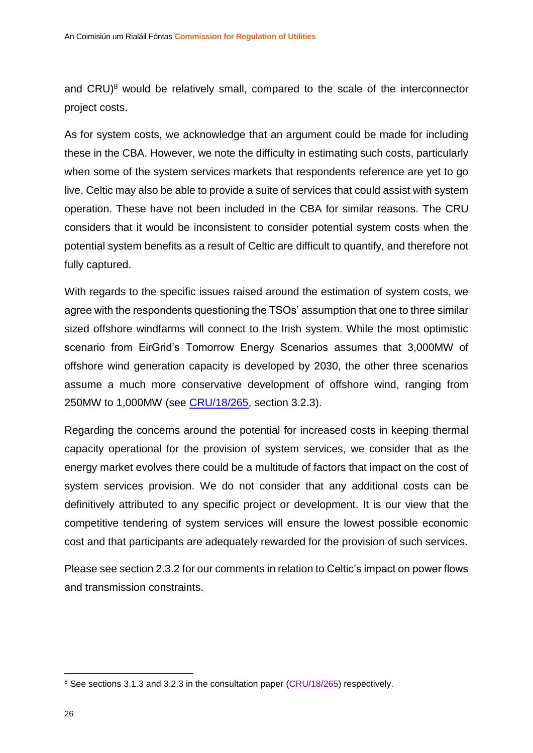and  $CRU)^8$  would be relatively small, compared to the scale of the interconnector project costs.

As for system costs, we acknowledge that an argument could be made for including these in the CBA. However, we note the difficulty in estimating such costs, particularly when some of the system services markets that respondents reference are yet to go live. Celtic may also be able to provide a suite of services that could assist with system operation. These have not been included in the CBA for similar reasons. The CRU considers that it would be inconsistent to consider potential system costs when the potential system benefits as a result of Celtic are difficult to quantify, and therefore not fully captured.

With regards to the specific issues raised around the estimation of system costs, we agree with the respondents questioning the TSOs' assumption that one to three similar sized offshore windfarms will connect to the Irish system. While the most optimistic scenario from EirGrid's Tomorrow Energy Scenarios assumes that 3,000MW of offshore wind generation capacity is developed by 2030, the other three scenarios assume a much more conservative development of offshore wind, ranging from 250MW to 1,000MW (see [CRU/18/265,](https://www.cru.ie/document_group/celtic-electricity-interconnector/) section 3.2.3).

Regarding the concerns around the potential for increased costs in keeping thermal capacity operational for the provision of system services, we consider that as the energy market evolves there could be a multitude of factors that impact on the cost of system services provision. We do not consider that any additional costs can be definitively attributed to any specific project or development. It is our view that the competitive tendering of system services will ensure the lowest possible economic cost and that participants are adequately rewarded for the provision of such services.

Please see section [2.3.2](#page-19-0) for our comments in relation to Celtic's impact on power flows and transmission constraints.

1

<sup>&</sup>lt;sup>8</sup> See sections 3.1.3 and 3.2.3 in the consultation paper [\(CRU/18/265\)](https://www.cru.ie/document_group/celtic-electricity-interconnector/) respectively.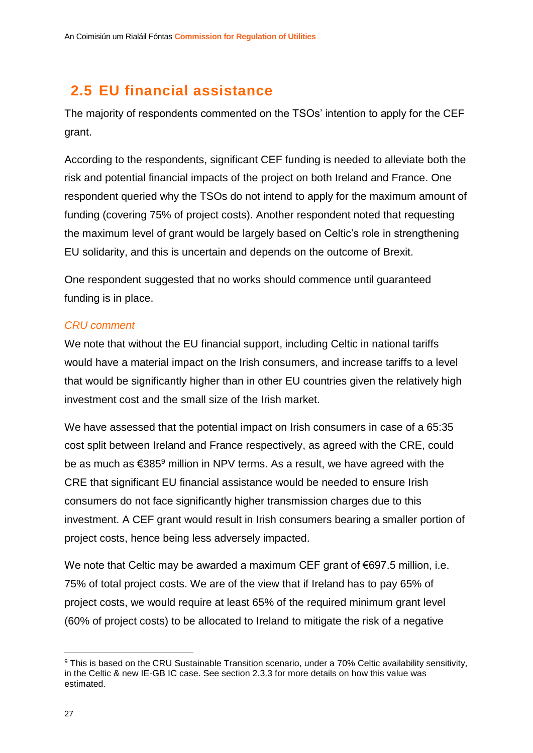# <span id="page-27-0"></span>**2.5 EU financial assistance**

The majority of respondents commented on the TSOs' intention to apply for the CEF grant.

According to the respondents, significant CEF funding is needed to alleviate both the risk and potential financial impacts of the project on both Ireland and France. One respondent queried why the TSOs do not intend to apply for the maximum amount of funding (covering 75% of project costs). Another respondent noted that requesting the maximum level of grant would be largely based on Celtic's role in strengthening EU solidarity, and this is uncertain and depends on the outcome of Brexit.

One respondent suggested that no works should commence until guaranteed funding is in place.

#### *CRU comment*

We note that without the EU financial support, including Celtic in national tariffs would have a material impact on the Irish consumers, and increase tariffs to a level that would be significantly higher than in other EU countries given the relatively high investment cost and the small size of the Irish market.

We have assessed that the potential impact on Irish consumers in case of a 65:35 cost split between Ireland and France respectively, as agreed with the CRE, could be as much as  $\epsilon$ 385<sup>9</sup> million in NPV terms. As a result, we have agreed with the CRE that significant EU financial assistance would be needed to ensure Irish consumers do not face significantly higher transmission charges due to this investment. A CEF grant would result in Irish consumers bearing a smaller portion of project costs, hence being less adversely impacted.

We note that Celtic may be awarded a maximum CEF grant of €697.5 million, i.e. 75% of total project costs. We are of the view that if Ireland has to pay 65% of project costs, we would require at least 65% of the required minimum grant level (60% of project costs) to be allocated to Ireland to mitigate the risk of a negative

1

<sup>&</sup>lt;sup>9</sup> This is based on the CRU Sustainable Transition scenario, under a 70% Celtic availability sensitivity, in the Celtic & new IE-GB IC case. See section [2.3.3](#page-20-0) for more details on how this value was estimated.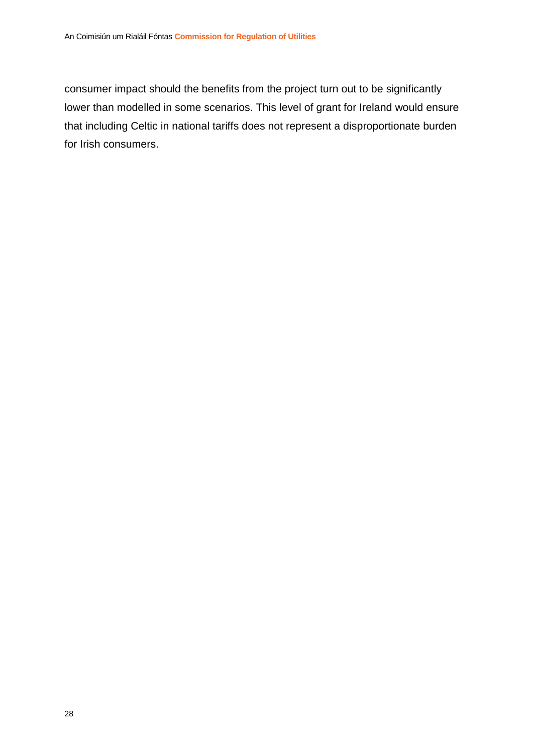consumer impact should the benefits from the project turn out to be significantly lower than modelled in some scenarios. This level of grant for Ireland would ensure that including Celtic in national tariffs does not represent a disproportionate burden for Irish consumers.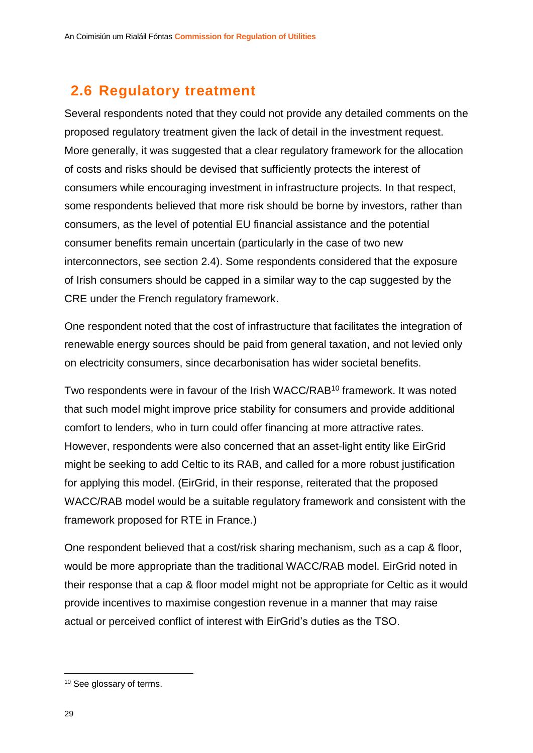# <span id="page-29-0"></span>**2.6 Regulatory treatment**

Several respondents noted that they could not provide any detailed comments on the proposed regulatory treatment given the lack of detail in the investment request. More generally, it was suggested that a clear regulatory framework for the allocation of costs and risks should be devised that sufficiently protects the interest of consumers while encouraging investment in infrastructure projects. In that respect, some respondents believed that more risk should be borne by investors, rather than consumers, as the level of potential EU financial assistance and the potential consumer benefits remain uncertain (particularly in the case of two new interconnectors, see section [2.4\)](#page-23-0). Some respondents considered that the exposure of Irish consumers should be capped in a similar way to the cap suggested by the CRE under the French regulatory framework.

One respondent noted that the cost of infrastructure that facilitates the integration of renewable energy sources should be paid from general taxation, and not levied only on electricity consumers, since decarbonisation has wider societal benefits.

Two respondents were in favour of the Irish WACC/RAB<sup>10</sup> framework. It was noted that such model might improve price stability for consumers and provide additional comfort to lenders, who in turn could offer financing at more attractive rates. However, respondents were also concerned that an asset-light entity like EirGrid might be seeking to add Celtic to its RAB, and called for a more robust justification for applying this model. (EirGrid, in their response, reiterated that the proposed WACC/RAB model would be a suitable regulatory framework and consistent with the framework proposed for RTE in France.)

One respondent believed that a cost/risk sharing mechanism, such as a cap & floor, would be more appropriate than the traditional WACC/RAB model. EirGrid noted in their response that a cap & floor model might not be appropriate for Celtic as it would provide incentives to maximise congestion revenue in a manner that may raise actual or perceived conflict of interest with EirGrid's duties as the TSO.

1

<sup>10</sup> See glossary of terms.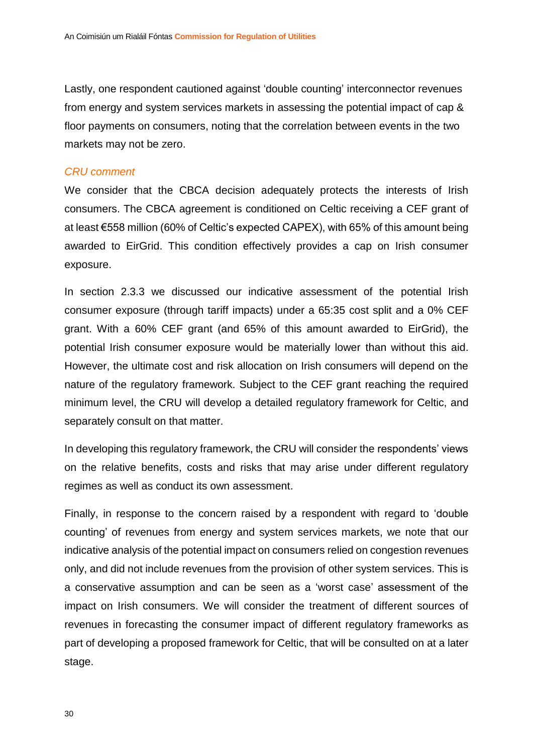Lastly, one respondent cautioned against 'double counting' interconnector revenues from energy and system services markets in assessing the potential impact of cap & floor payments on consumers, noting that the correlation between events in the two markets may not be zero.

#### *CRU comment*

We consider that the CBCA decision adequately protects the interests of Irish consumers. The CBCA agreement is conditioned on Celtic receiving a CEF grant of at least €558 million (60% of Celtic's expected CAPEX), with 65% of this amount being awarded to EirGrid. This condition effectively provides a cap on Irish consumer exposure.

In section [2.3.3](#page-20-0) we discussed our indicative assessment of the potential Irish consumer exposure (through tariff impacts) under a 65:35 cost split and a 0% CEF grant. With a 60% CEF grant (and 65% of this amount awarded to EirGrid), the potential Irish consumer exposure would be materially lower than without this aid. However, the ultimate cost and risk allocation on Irish consumers will depend on the nature of the regulatory framework. Subject to the CEF grant reaching the required minimum level, the CRU will develop a detailed regulatory framework for Celtic, and separately consult on that matter.

In developing this regulatory framework, the CRU will consider the respondents' views on the relative benefits, costs and risks that may arise under different regulatory regimes as well as conduct its own assessment.

Finally, in response to the concern raised by a respondent with regard to 'double counting' of revenues from energy and system services markets, we note that our indicative analysis of the potential impact on consumers relied on congestion revenues only, and did not include revenues from the provision of other system services. This is a conservative assumption and can be seen as a 'worst case' assessment of the impact on Irish consumers. We will consider the treatment of different sources of revenues in forecasting the consumer impact of different regulatory frameworks as part of developing a proposed framework for Celtic, that will be consulted on at a later stage.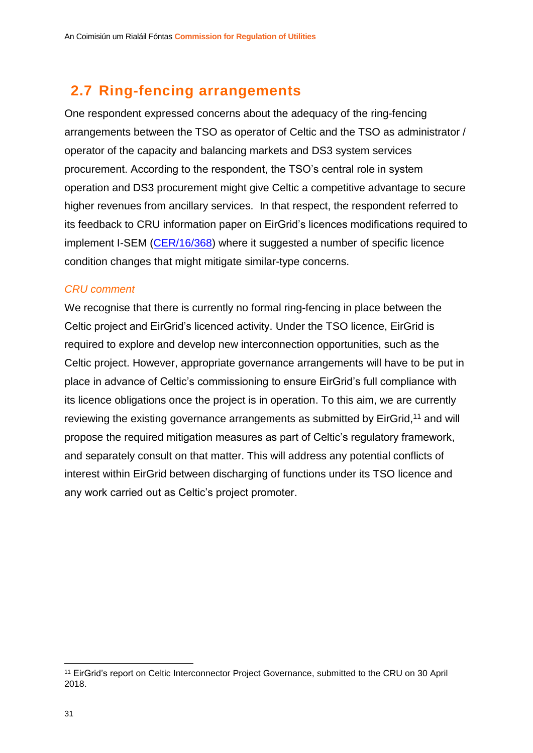# <span id="page-31-0"></span>**2.7 Ring-fencing arrangements**

One respondent expressed concerns about the adequacy of the ring-fencing arrangements between the TSO as operator of Celtic and the TSO as administrator / operator of the capacity and balancing markets and DS3 system services procurement. According to the respondent, the TSO's central role in system operation and DS3 procurement might give Celtic a competitive advantage to secure higher revenues from ancillary services. In that respect, the respondent referred to its feedback to CRU information paper on EirGrid's licences modifications required to implement I-SEM [\(CER/16/368\)](https://www.cru.ie/document_group/modifications-to-eirgrid-market-operator-licence-and-transmission-system-operator-licence-necessitated-to-implement-the-integrated-single-electricity-market-i-sem/) where it suggested a number of specific licence condition changes that might mitigate similar-type concerns.

#### *CRU comment*

We recognise that there is currently no formal ring-fencing in place between the Celtic project and EirGrid's licenced activity. Under the TSO licence, EirGrid is required to explore and develop new interconnection opportunities, such as the Celtic project. However, appropriate governance arrangements will have to be put in place in advance of Celtic's commissioning to ensure EirGrid's full compliance with its licence obligations once the project is in operation. To this aim, we are currently reviewing the existing governance arrangements as submitted by EirGrid,<sup>11</sup> and will propose the required mitigation measures as part of Celtic's regulatory framework, and separately consult on that matter. This will address any potential conflicts of interest within EirGrid between discharging of functions under its TSO licence and any work carried out as Celtic's project promoter.

<sup>1</sup> <sup>11</sup> EirGrid's report on Celtic Interconnector Project Governance, submitted to the CRU on 30 April 2018.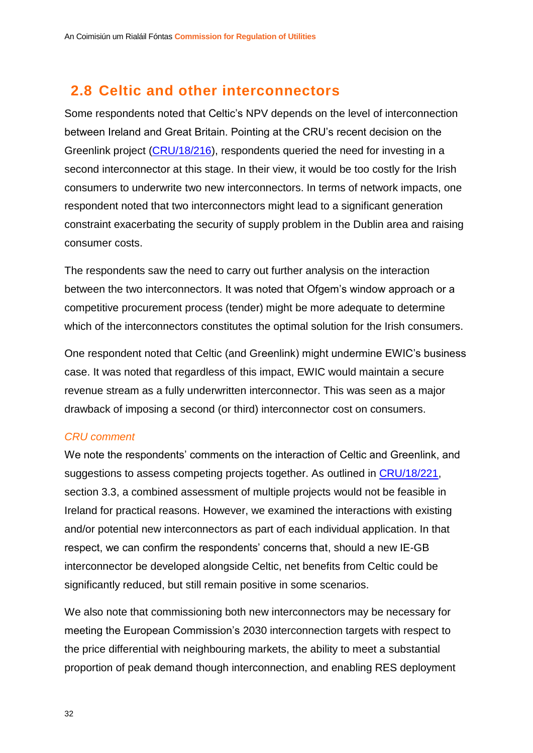# <span id="page-32-0"></span>**2.8 Celtic and other interconnectors**

Some respondents noted that Celtic's NPV depends on the level of interconnection between Ireland and Great Britain. Pointing at the CRU's recent decision on the Greenlink project [\(CRU/18/216\)](https://www.cru.ie/document_group/greenlink-electricity-interconnector/), respondents queried the need for investing in a second interconnector at this stage. In their view, it would be too costly for the Irish consumers to underwrite two new interconnectors. In terms of network impacts, one respondent noted that two interconnectors might lead to a significant generation constraint exacerbating the security of supply problem in the Dublin area and raising consumer costs.

The respondents saw the need to carry out further analysis on the interaction between the two interconnectors. It was noted that Ofgem's window approach or a competitive procurement process (tender) might be more adequate to determine which of the interconnectors constitutes the optimal solution for the Irish consumers.

One respondent noted that Celtic (and Greenlink) might undermine EWIC's business case. It was noted that regardless of this impact, EWIC would maintain a secure revenue stream as a fully underwritten interconnector. This was seen as a major drawback of imposing a second (or third) interconnector cost on consumers.

#### *CRU comment*

We note the respondents' comments on the interaction of Celtic and Greenlink, and suggestions to assess competing projects together. As outlined in [CRU/18/221,](https://www.cru.ie/document_group/policy-for-electricity-interconnectors/) section 3.3, a combined assessment of multiple projects would not be feasible in Ireland for practical reasons. However, we examined the interactions with existing and/or potential new interconnectors as part of each individual application. In that respect, we can confirm the respondents' concerns that, should a new IE-GB interconnector be developed alongside Celtic, net benefits from Celtic could be significantly reduced, but still remain positive in some scenarios.

We also note that commissioning both new interconnectors may be necessary for meeting the European Commission's 2030 interconnection targets with respect to the price differential with neighbouring markets, the ability to meet a substantial proportion of peak demand though interconnection, and enabling RES deployment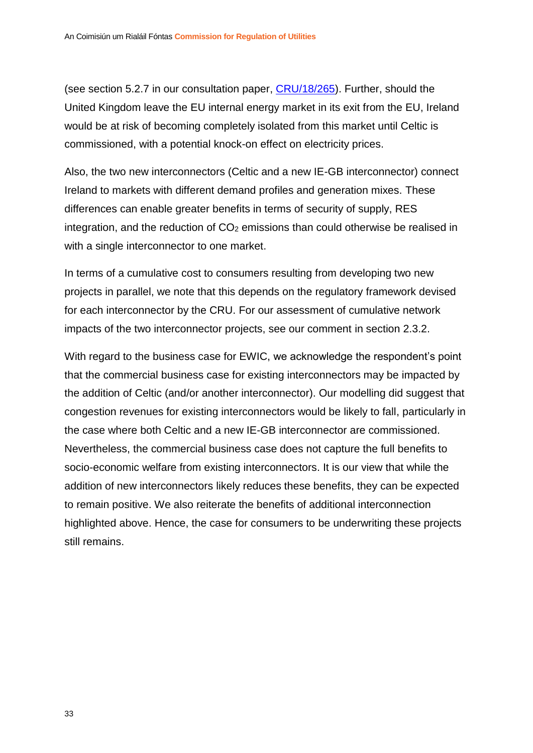(see section 5.2.7 in our consultation paper, [CRU/18/265\)](https://www.cru.ie/document_group/celtic-electricity-interconnector/). Further, should the United Kingdom leave the EU internal energy market in its exit from the EU, Ireland would be at risk of becoming completely isolated from this market until Celtic is commissioned, with a potential knock-on effect on electricity prices.

Also, the two new interconnectors (Celtic and a new IE-GB interconnector) connect Ireland to markets with different demand profiles and generation mixes. These differences can enable greater benefits in terms of security of supply, RES integration, and the reduction of  $CO<sub>2</sub>$  emissions than could otherwise be realised in with a single interconnector to one market.

In terms of a cumulative cost to consumers resulting from developing two new projects in parallel, we note that this depends on the regulatory framework devised for each interconnector by the CRU. For our assessment of cumulative network impacts of the two interconnector projects, see our comment in section [2.3.2.](#page-19-0)

With regard to the business case for EWIC, we acknowledge the respondent's point that the commercial business case for existing interconnectors may be impacted by the addition of Celtic (and/or another interconnector). Our modelling did suggest that congestion revenues for existing interconnectors would be likely to fall, particularly in the case where both Celtic and a new IE-GB interconnector are commissioned. Nevertheless, the commercial business case does not capture the full benefits to socio-economic welfare from existing interconnectors. It is our view that while the addition of new interconnectors likely reduces these benefits, they can be expected to remain positive. We also reiterate the benefits of additional interconnection highlighted above. Hence, the case for consumers to be underwriting these projects still remains.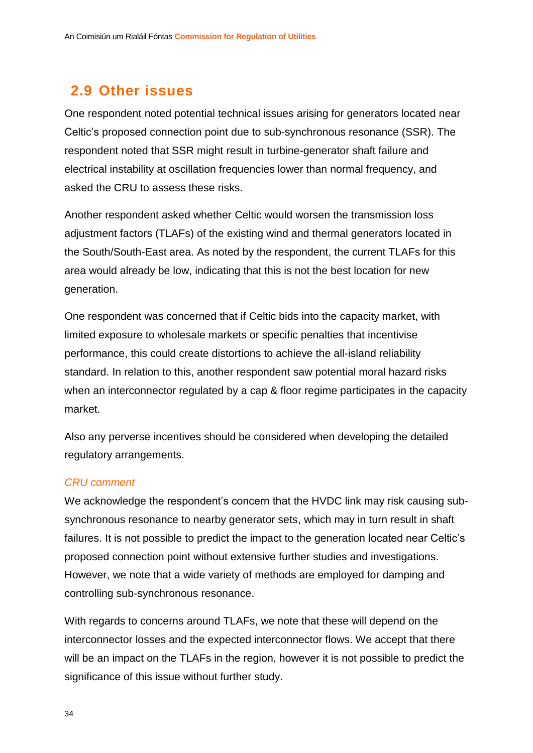# <span id="page-34-0"></span>**2.9 Other issues**

One respondent noted potential technical issues arising for generators located near Celtic's proposed connection point due to sub-synchronous resonance (SSR). The respondent noted that SSR might result in turbine-generator shaft failure and electrical instability at oscillation frequencies lower than normal frequency, and asked the CRU to assess these risks.

Another respondent asked whether Celtic would worsen the transmission loss adjustment factors (TLAFs) of the existing wind and thermal generators located in the South/South-East area. As noted by the respondent, the current TLAFs for this area would already be low, indicating that this is not the best location for new generation.

One respondent was concerned that if Celtic bids into the capacity market, with limited exposure to wholesale markets or specific penalties that incentivise performance, this could create distortions to achieve the all-island reliability standard. In relation to this, another respondent saw potential moral hazard risks when an interconnector regulated by a cap & floor regime participates in the capacity market.

Also any perverse incentives should be considered when developing the detailed regulatory arrangements.

#### *CRU comment*

We acknowledge the respondent's concern that the HVDC link may risk causing subsynchronous resonance to nearby generator sets, which may in turn result in shaft failures. It is not possible to predict the impact to the generation located near Celtic's proposed connection point without extensive further studies and investigations. However, we note that a wide variety of methods are employed for damping and controlling sub-synchronous resonance.

With regards to concerns around TLAFs, we note that these will depend on the interconnector losses and the expected interconnector flows. We accept that there will be an impact on the TLAFs in the region, however it is not possible to predict the significance of this issue without further study.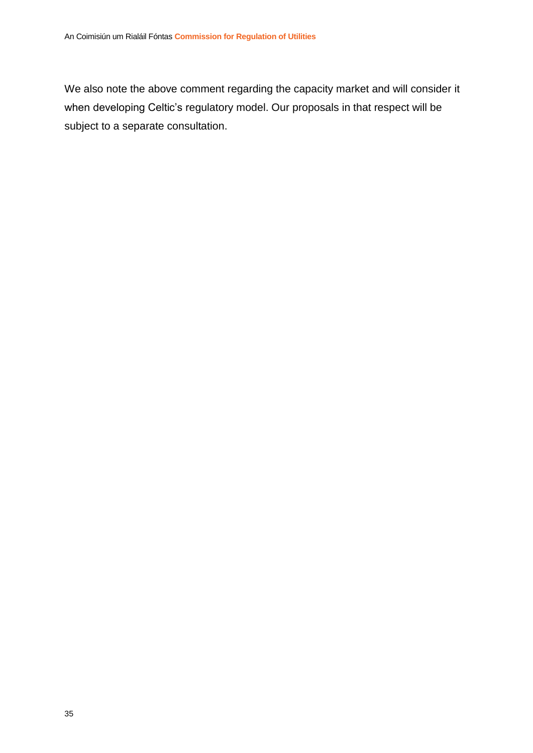We also note the above comment regarding the capacity market and will consider it when developing Celtic's regulatory model. Our proposals in that respect will be subject to a separate consultation.